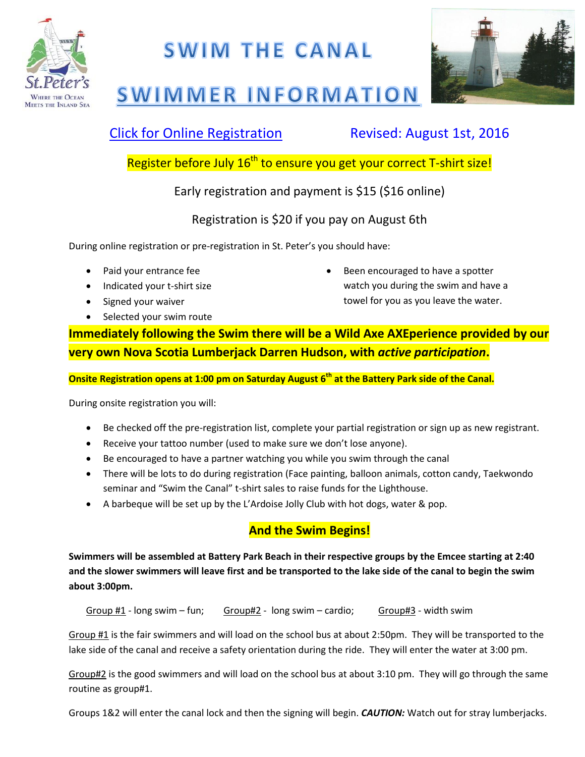

## **SWIM THE CANAL**



# **SWIMMER INFORMATION**

### [Click for Online Registration](https://itsarap.rezdy.com/105175/swim-the-canal) Revised: August 1st, 2016

Register before July 16<sup>th</sup> to ensure you get your correct T-shirt size!

Early registration and payment is \$15 (\$16 online)

Registration is \$20 if you pay on August 6th

During online registration or pre-registration in St. Peter's you should have:

- Paid your entrance fee
- Indicated your t-shirt size
- Signed your waiver
- Selected your swim route

 Been encouraged to have a spotter watch you during the swim and have a towel for you as you leave the water.

**Immediately following the Swim there will be a Wild Axe AXEperience provided by our very own Nova Scotia Lumberjack Darren Hudson, with** *active participation***.** 

**Onsite Registration opens at 1:00 pm on Saturday August 6th at the Battery Park side of the Canal.**

During onsite registration you will:

- Be checked off the pre-registration list, complete your partial registration or sign up as new registrant.
- Receive your tattoo number (used to make sure we don't lose anyone).
- Be encouraged to have a partner watching you while you swim through the canal
- There will be lots to do during registration (Face painting, balloon animals, cotton candy, Taekwondo seminar and "Swim the Canal" t-shirt sales to raise funds for the Lighthouse.
- A barbeque will be set up by the L'Ardoise Jolly Club with hot dogs, water & pop.

#### **And the Swim Begins!**

**Swimmers will be assembled at Battery Park Beach in their respective groups by the Emcee starting at 2:40 and the slower swimmers will leave first and be transported to the lake side of the canal to begin the swim about 3:00pm.**

Group  $#1$  - long swim – fun; Group $#2$  - long swim – cardio; Group#3 - width swim

Group #1 is the fair swimmers and will load on the school bus at about 2:50pm. They will be transported to the lake side of the canal and receive a safety orientation during the ride. They will enter the water at 3:00 pm.

Group#2 is the good swimmers and will load on the school bus at about 3:10 pm. They will go through the same routine as group#1.

Groups 1&2 will enter the canal lock and then the signing will begin. *CAUTION:* Watch out for stray lumberjacks.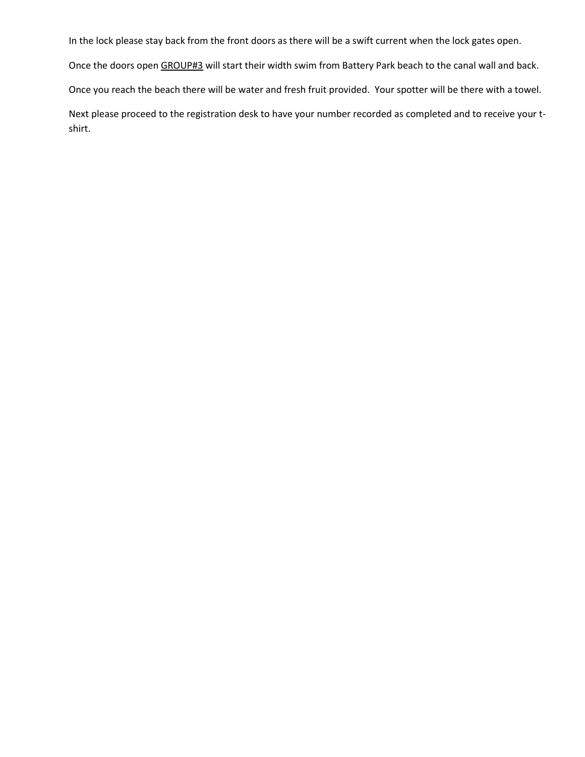In the lock please stay back from the front doors as there will be a swift current when the lock gates open.

Once the doors open GROUP#3 will start their width swim from Battery Park beach to the canal wall and back.

Once you reach the beach there will be water and fresh fruit provided. Your spotter will be there with a towel.

Next please proceed to the registration desk to have your number recorded as completed and to receive your tshirt.